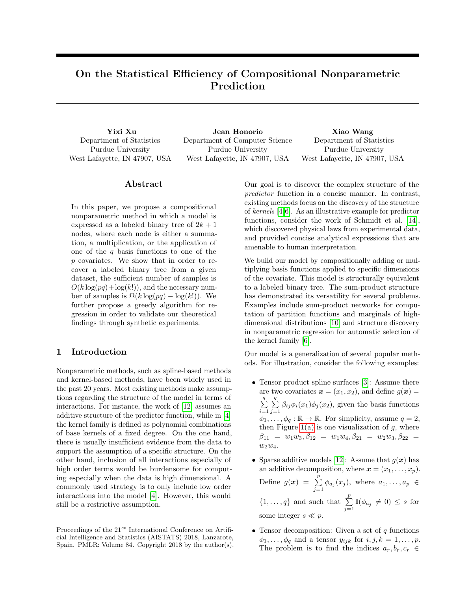# On the Statistical Efficiency of Compositional Nonparametric Prediction

Department of Statistics Purdue University West Lafayette, IN 47907, USA

Yixi Xu Jean Honorio Xiao Wang Department of Computer Science Purdue University West Lafayette, IN 47907, USA Department of Statistics Purdue University West Lafayette, IN 47907, USA

## Abstract

In this paper, we propose a compositional nonparametric method in which a model is expressed as a labeled binary tree of  $2k+1$ nodes, where each node is either a summation, a multiplication, or the application of one of the  $q$  basis functions to one of the p covariates. We show that in order to recover a labeled binary tree from a given dataset, the sufficient number of samples is  $O(k \log(pq) + \log(k))$ , and the necessary number of samples is  $\Omega(k \log (pq) - \log (k!) )$ . We further propose a greedy algorithm for regression in order to validate our theoretical findings through synthetic experiments.

#### 1 Introduction

Nonparametric methods, such as spline-based methods and kernel-based methods, have been widely used in the past 20 years. Most existing methods make assumptions regarding the structure of the model in terms of interactions. For instance, the work of [\[12\]](#page-8-0) assumes an additive structure of the predictor function, while in [\[4\]](#page-8-1) the kernel family is defined as polynomial combinations of base kernels of a fixed degree. On the one hand, there is usually insufficient evidence from the data to support the assumption of a specific structure. On the other hand, inclusion of all interactions especially of high order terms would be burdensome for computing especially when the data is high dimensional. A commonly used strategy is to only include low order interactions into the model [\[4\]](#page-8-1). However, this would still be a restrictive assumption.

Our goal is to discover the complex structure of the predictor function in a concise manner. In contrast, existing methods focus on the discovery of the structure of kernels [\[4,](#page-8-1)[6\]](#page-8-2). As an illustrative example for predictor functions, consider the work of Schmidt et al. [\[14\]](#page-8-3), which discovered physical laws from experimental data, and provided concise analytical expressions that are amenable to human interpretation.

We build our model by compositionally adding or multiplying basis functions applied to specific dimensions of the covariate. This model is structurally equivalent to a labeled binary tree. The sum-product structure has demonstrated its versatility for several problems. Examples include sum-product networks for computation of partition functions and marginals of highdimensional distributions [\[10\]](#page-8-4) and structure discovery in nonparametric regression for automatic selection of the kernel family [\[6\]](#page-8-2).

Our model is a generalization of several popular methods. For illustration, consider the following examples:

- Tensor product spline surfaces [\[3\]](#page-8-5): Assume there are two covariates  $\mathbf{x} = (x_1, x_2)$ , and define  $q(\mathbf{x}) =$  $\sum_{i=1}^{q}$  $i=1$  $\sum_{i=1}^{q}$  $\sum_{j=1} \beta_{ij} \phi_i(x_1) \phi_j(x_2)$ , given the basis functions  $\phi_1, \ldots, \phi_q : \mathbb{R} \to \mathbb{R}$ . For simplicity, assume  $q = 2$ , then Figure [1\(a\)](#page-1-0) is one visualization of  $g$ , where  $\beta_{11} = w_1w_3, \beta_{12} = w_1w_4, \beta_{21} = w_2w_3, \beta_{22} =$  $w_2w_4$ .
- Sparse additive models [\[12\]](#page-8-0): Assume that  $g(x)$  has an additive decomposition, where  $\boldsymbol{x} = (x_1, \ldots, x_n)$ . Define  $g(x) = \sum_{n=1}^{p}$  $\sum_{j=1} \phi_{a_j}(x_j)$ , where  $a_1, \ldots, a_p \in$  $\{1, \ldots, q\}$  and such that  $\sum_{i=1}^{p}$  $\sum_{j=1}^r \mathbb{I}(\phi_{a_j} \neq 0) \leq s$  for some integer  $s \ll p$ .
- Tensor decomposition: Given a set of  $q$  functions  $\phi_1, \ldots, \phi_q$  and a tensor  $y_{ijk}$  for  $i, j, k = 1, \ldots, p$ . The problem is to find the indices  $a_r, b_r, c_r \in$

Proceedings of the  $21^{st}$  International Conference on Artificial Intelligence and Statistics (AISTATS) 2018, Lanzarote, Spain. PMLR: Volume 84. Copyright 2018 by the author(s).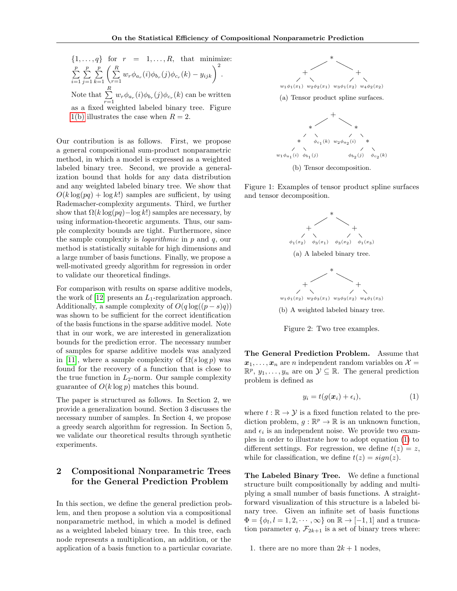$$
\{1, \ldots, q\} \text{ for } r = 1, \ldots, R, \text{ that minimize:}
$$
\n
$$
\sum_{i=1}^{p} \sum_{j=1}^{p} \sum_{k=1}^{p} \left( \sum_{r=1}^{R} w_r \phi_{a_r}(i) \phi_{b_r}(j) \phi_{c_r}(k) - y_{ijk} \right)^2.
$$
\nNote that 
$$
\sum_{r=1}^{R} w_r \phi_{a_r}(i) \phi_{b_r}(j) \phi_{c_r}(k)
$$
 can be written

as a fixed weighted labeled binary tree. Figure [1\(b\)](#page-1-1) illustrates the case when  $R = 2$ .

Our contribution is as follows. First, we propose a general compositional sum-product nonparametric method, in which a model is expressed as a weighted labeled binary tree. Second, we provide a generalization bound that holds for any data distribution and any weighted labeled binary tree. We show that  $O(k \log(pq) + \log k!)$  samples are sufficient, by using Rademacher-complexity arguments. Third, we further show that  $\Omega(k \log (pq) - \log k!)$  samples are necessary, by using information-theoretic arguments. Thus, our sample complexity bounds are tight. Furthermore, since the sample complexity is *logarithmic* in  $p$  and  $q$ , our method is statistically suitable for high dimensions and a large number of basis functions. Finally, we propose a well-motivated greedy algorithm for regression in order to validate our theoretical findings.

For comparison with results on sparse additive models, the work of  $[12]$  presents an  $L_1$ -regularization approach. Additionally, a sample complexity of  $O(q \log((p - s)q))$ was shown to be sufficient for the correct identification of the basis functions in the sparse additive model. Note that in our work, we are interested in generalization bounds for the prediction error. The necessary number of samples for sparse additive models was analyzed in [\[11\]](#page-8-6), where a sample complexity of  $\Omega(s \log p)$  was found for the recovery of a function that is close to the true function in  $L_2$ -norm. Our sample complexity guarantee of  $O(k \log p)$  matches this bound.

The paper is structured as follows. In Section 2, we provide a generalization bound. Section 3 discusses the necessary number of samples. In Section 4, we propose a greedy search algorithm for regression. In Section 5, we validate our theoretical results through synthetic experiments.

# 2 Compositional Nonparametric Trees for the General Prediction Problem

In this section, we define the general prediction problem, and then propose a solution via a compositional nonparametric method, in which a model is defined as a weighted labeled binary tree. In this tree, each node represents a multiplication, an addition, or the application of a basis function to a particular covariate.

<span id="page-1-0"></span>

<span id="page-1-1"></span>(b) Tensor decomposition.

<span id="page-1-3"></span>Figure 1: Examples of tensor product spline surfaces and tensor decomposition.



<span id="page-1-4"></span>Figure 2: Two tree examples.

The General Prediction Problem. Assume that  $x_1, \ldots, x_n$  are *n* independent random variables on  $\mathcal{X} =$  $\mathbb{R}^p$ ,  $y_1, \ldots, y_n$  are on  $\mathcal{Y} \subseteq \mathbb{R}$ . The general prediction problem is defined as

<span id="page-1-2"></span>
$$
y_i = t(g(\mathbf{x}_i) + \epsilon_i), \tag{1}
$$

where  $t : \mathbb{R} \to \mathcal{Y}$  is a fixed function related to the prediction problem,  $g : \mathbb{R}^p \to \mathbb{R}$  is an unknown function, and  $\epsilon_i$  is an independent noise. We provide two examples in order to illustrate how to adopt equation [\(1\)](#page-1-2) to different settings. For regression, we define  $t(z) = z$ , while for classification, we define  $t(z) = sign(z)$ .

The Labeled Binary Tree. We define a functional structure built compositionally by adding and multiplying a small number of basis functions. A straightforward visualization of this structure is a labeled binary tree. Given an infinite set of basis functions  $\Phi = {\phi_l, l = 1, 2, \cdots, \infty}$  on  $\mathbb{R} \to [-1, 1]$  and a truncation parameter q,  $\mathcal{F}_{2k+1}$  is a set of binary trees where:

1. there are no more than  $2k + 1$  nodes,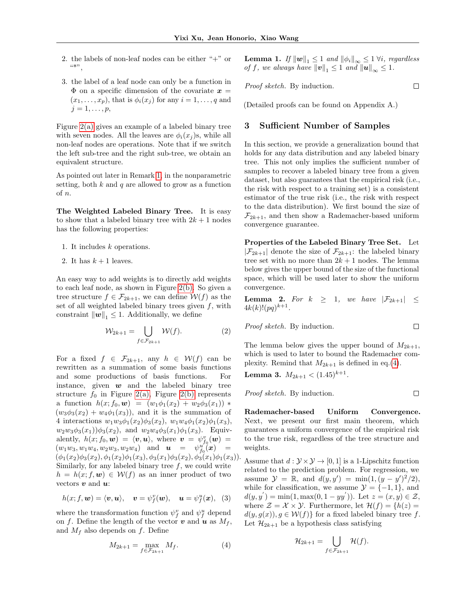- 2. the labels of non-leaf nodes can be either "+" or  $((*)$ ,
- 3. the label of a leaf node can only be a function in  $\Phi$  on a specific dimension of the covariate  $x =$  $(x_1, \ldots, x_p)$ , that is  $\phi_i(x_i)$  for any  $i = 1, \ldots, q$  and  $j=1,\ldots,p,$

Figure [2\(a\)](#page-1-3) gives an example of a labeled binary tree with seven nodes. All the leaves are  $\phi_i(x_i)$ s, while all non-leaf nodes are operations. Note that if we switch the left sub-tree and the right sub-tree, we obtain an equivalent structure.

As pointed out later in Remark [1,](#page-4-0) in the nonparametric setting, both  $k$  and  $q$  are allowed to grow as a function of n.

The Weighted Labeled Binary Tree. It is easy to show that a labeled binary tree with  $2k + 1$  nodes has the following properties:

- 1. It includes k operations.
- 2. It has  $k+1$  leaves.

An easy way to add weights is to directly add weights to each leaf node, as shown in Figure [2\(b\).](#page-1-4) So given a tree structure  $f \in \mathcal{F}_{2k+1}$ , we can define  $\mathcal{W}(f)$  as the set of all weighted labeled binary trees given  $f$ , with constraint  $\|\boldsymbol{w}\|_1 \leq 1$ . Additionally, we define

$$
\mathcal{W}_{2k+1} = \bigcup_{f \in \mathcal{F}_{2k+1}} \mathcal{W}(f). \tag{2}
$$

For a fixed  $f \in \mathcal{F}_{2k+1}$ , any  $h \in \mathcal{W}(f)$  can be rewritten as a summation of some basis functions and some productions of basis functions. For instance, given  $w$  and the labeled binary tree structure  $f_0$  in Figure [2\(a\),](#page-1-3) Figure [2\(b\)](#page-1-4) represents a function  $h(x; f_0, \mathbf{w}) = (w_1 \phi_1(x_2) + w_2 \phi_3(x_1))$  \*  $(w_3\phi_3(x_2) + w_4\phi_1(x_3))$ , and it is the summation of 4 interactions  $w_1w_3\phi_1(x_2)\phi_3(x_2)$ ,  $w_1w_4\phi_1(x_2)\phi_1(x_3)$ ,  $w_2w_3\phi_3(x_1)\phi_3(x_2)$ , and  $w_2w_4\phi_3(x_1)\phi_1(x_3)$ . Equivalently,  $h(x; f_0, w) = \langle v, u \rangle$ , where  $v = \psi_{f_0}^v(w)$  =  $(w_1w_3, w_1w_4, w_2w_3, w_2w_4)$  and  $\bm{u} = \psi_{f_0}^{u'}(\bm{x}) =$  $(\phi_1(x_2)\phi_3(x_2), \phi_1(x_2)\phi_1(x_3), \phi_3(x_1)\phi_3(x_2), \phi_3(x_1)\phi_1(x_3)).$ Similarly, for any labeled binary tree  $f$ , we could write  $h = h(x; f, \mathbf{w}) \in \mathcal{W}(f)$  as an inner product of two vectors  $v$  and  $u$ :

$$
h(x; f, \mathbf{w}) = \langle \mathbf{v}, \mathbf{u} \rangle, \quad \mathbf{v} = \psi_f^v(\mathbf{w}), \quad \mathbf{u} = \psi_f^u(\mathbf{x}), \tag{3}
$$

where the transformation function  $\psi_f^v$  and  $\psi_f^u$  depend on f. Define the length of the vector  $\boldsymbol{v}$  and  $\boldsymbol{u}$  as  $M_f$ , and  $M_f$  also depends on f. Define

<span id="page-2-0"></span>
$$
M_{2k+1} = \max_{f \in \mathcal{F}_{2k+1}} M_f.
$$
 (4)

<span id="page-2-4"></span>**Lemma 1.** If  $||w||_1 \leq 1$  and  $||\phi_i||_{\infty} \leq 1 \forall i$ , regardless of f, we always have  $||v||_1 \leq 1$  and  $||u||_{\infty} \leq 1$ .

 $\Box$ 

 $\Box$ 

Proof sketch. By induction.

(Detailed proofs can be found on Appendix A.)

#### 3 Sufficient Number of Samples

In this section, we provide a generalization bound that holds for any data distribution and any labeled binary tree. This not only implies the sufficient number of samples to recover a labeled binary tree from a given dataset, but also guarantees that the empirical risk (i.e., the risk with respect to a training set) is a consistent estimator of the true risk (i.e., the risk with respect to the data distribution). We first bound the size of  $\mathcal{F}_{2k+1}$ , and then show a Rademacher-based uniform convergence guarantee.

Properties of the Labeled Binary Tree Set. Let  $|\mathcal{F}_{2k+1}|$  denote the size of  $\mathcal{F}_{2k+1}$ : the labeled binary tree set with no more than  $2k + 1$  nodes. The lemma below gives the upper bound of the size of the functional space, which will be used later to show the uniform convergence.

<span id="page-2-1"></span>**Lemma 2.** For  $k \geq 1$ , we have  $|\mathcal{F}_{2k+1}| \leq$  $4k(k)!(pq)^{k+1}.$ 

*Proof sketch.* By induction. 
$$
\Box
$$

The lemma below gives the upper bound of  $M_{2k+1}$ , which is used to later to bound the Rademacher complexity. Remind that  $M_{2k+1}$  is defined in eq.[\(4\)](#page-2-0).

<span id="page-2-2"></span>Lemma 3.  $M_{2k+1} < (1.45)^{k+1}$ .

Proof sketch. By induction.

Rademacher-based Uniform Convergence. Next, we present our first main theorem, which guarantees a uniform convergence of the empirical risk to the true risk, regardless of the tree structure and weights.

<span id="page-2-3"></span>Assume that  $d: \mathcal{Y} \times \mathcal{Y} \rightarrow [0, 1]$  is a 1-Lipschitz function related to the prediction problem. For regression, we assume  $\mathcal{Y} = \mathbb{R}$ , and  $d(y, y') = \min(1, (y - y')^2/2),$ while for classification, we assume  $\mathcal{Y} = \{-1, 1\}$ , and  $d(y, y') = \min(1, \max(0, 1 - yy'))$ . Let  $z = (x, y) \in \mathcal{Z}$ , where  $\mathcal{Z} = \mathcal{X} \times \mathcal{Y}$ . Furthermore, let  $\mathcal{H}(f) = \{h(z) =$  $d(y, g(x)), g \in \mathcal{W}(f)$  for a fixed labeled binary tree f. Let  $\mathcal{H}_{2k+1}$  be a hypothesis class satisfying

$$
\mathcal{H}_{2k+1} = \bigcup_{f \in \mathcal{F}_{2k+1}} \mathcal{H}(f).
$$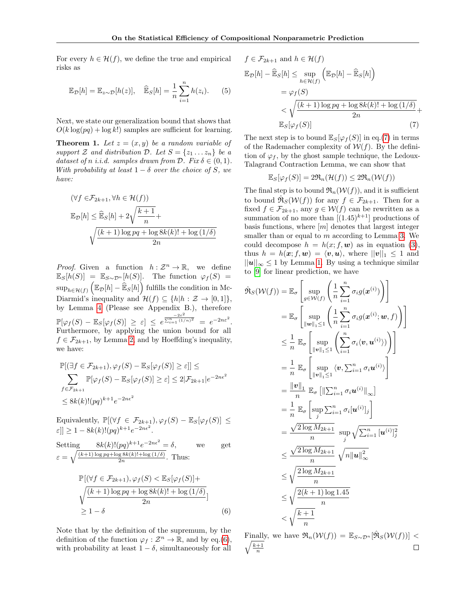For every  $h \in \mathcal{H}(f)$ , we define the true and empirical risks as

$$
\mathbb{E}_{\mathcal{D}}[h] = \mathbb{E}_{z \sim \mathcal{D}}[h(z)], \quad \widehat{\mathbb{E}}_S[h] = \frac{1}{n} \sum_{i=1}^n h(z_i). \tag{5}
$$

Next, we state our generalization bound that shows that  $O(k \log(pq) + \log k!)$  samples are sufficient for learning.

<span id="page-3-2"></span>**Theorem 1.** Let  $z = (x, y)$  be a random variable of support Z and distribution D. Let  $S = \{z_1 \dots z_n\}$  be a dataset of n i.i.d. samples drawn from  $\mathcal{D}$ . Fix  $\delta \in (0,1)$ . With probability at least  $1 - \delta$  over the choice of S, we have:

$$
(\forall f \in \mathcal{F}_{2k+1}, \forall h \in \mathcal{H}(f))
$$

$$
\mathbb{E}_{\mathcal{D}}[h] \leq \widehat{\mathbb{E}}_S[h] + 2\sqrt{\frac{k+1}{n}} + \sqrt{\frac{(k+1)\log pq + \log 8k(k)! + \log(1/\delta)}{2n}}
$$

*Proof.* Given a function  $h : \mathcal{Z}^n \to \mathbb{R}$ , we define  $\mathbb{E}_{S}[h(S)] = \mathbb{E}_{S \sim \mathcal{D}^n}[h(S)]$ . The function  $\varphi_f(S) =$  $\sup_{h \in \mathcal{H}(f)} \left( \mathbb{E}_{\mathcal{D}}[h] - \widehat{\mathbb{E}}_S[h] \right)$  fulfills the condition in Mc-Diarmid's inequality and  $\mathcal{H}(f) \subseteq \{h|h : \mathcal{Z} \to [0,1]\},\$ by Lemma 4 (Please see Appendix B.), therefore  $\mathbb{P}[\varphi_f(S)-\mathbb{E}_S[\varphi_f(S)] \ \geq \ \varepsilon] \ \leq \ e^{\frac{-2 \varepsilon^2}{\sum_{i=1}^n (1/n)^2}} \ = \ e^{-2n \varepsilon^2}.$ Furthermore, by applying the union bound for all  $f \in \mathcal{F}_{2k+1}$ , by Lemma [2,](#page-2-1) and by Hoeffding's inequality, we have:

$$
\mathbb{P}[(\exists f \in \mathcal{F}_{2k+1}), \varphi_f(S) - \mathbb{E}_S[\varphi_f(S)] \ge \varepsilon]] \le
$$
\n
$$
\sum_{f \in \mathcal{F}_{2k+1}} \mathbb{P}[\varphi_f(S) - \mathbb{E}_S[\varphi_f(S)] \ge \varepsilon] \le 2|\mathcal{F}_{2k+1}|e^{-2n\epsilon^2}
$$
\n
$$
\le 8k(k)!(pq)^{k+1}e^{-2n\epsilon^2}
$$

Equivalently, 
$$
\mathbb{P}[(\forall f \in \mathcal{F}_{2k+1}), \varphi_f(S) - \mathbb{E}_S[\varphi_f(S)] \le \varepsilon]] \ge 1 - 8k(k)!(pq)^{k+1}e^{-2n\epsilon^2}.
$$
  
Setting  $8k(k)!(pq)^{k+1}e^{-2n\epsilon^2} = \delta$ , we get

$$
\varepsilon = \sqrt{\frac{(k+1)\log pq + \log 8k(k)! + \log(1/\delta)}{2n}}.
$$
 Thus:

$$
\mathbb{P}\left[\left(\forall f \in \mathcal{F}_{2k+1}\right), \varphi_f(S) < \mathbb{E}_S[\varphi_f(S)] + \sqrt{\frac{(k+1)\log pq + \log 8k(k)! + \log(1/\delta)}{2n}}\right] \ge 1 - \delta \tag{6}
$$

Note that by the definition of the supremum, by the definition of the function  $\varphi_f : \mathcal{Z}^n \to \mathbb{R}$ , and by eq.[\(6\)](#page-3-0), with probability at least  $1 - \delta$ , simultaneously for all

$$
f \in \mathcal{F}_{2k+1} \text{ and } h \in \mathcal{H}(f)
$$
  
\n
$$
\mathbb{E}_{\mathcal{D}}[h] - \widehat{\mathbb{E}}_S[h] \le \sup_{h \in \mathcal{H}(f)} \left( \mathbb{E}_{\mathcal{D}}[h] - \widehat{\mathbb{E}}_S[h] \right)
$$
  
\n
$$
= \varphi_f(S)
$$
  
\n
$$
< \sqrt{\frac{(k+1)\log pq + \log 8k(k)! + \log(1/\delta)}{2n}} + \mathbb{E}_S[\varphi_f(S)] \tag{7}
$$

The next step is to bound  $\mathbb{E}_{S}[\varphi_{f}(S)]$  in eq.[\(7\)](#page-3-1) in terms of the Rademacher complexity of  $W(f)$ . By the definition of  $\varphi_f$ , by the ghost sample technique, the Ledoux-Talagrand Contraction Lemma, we can show that

<span id="page-3-1"></span>
$$
\mathbb{E}_S[\varphi_f(S)] = 2\Re_n(\mathcal{H}(f)) \le 2\Re_n(\mathcal{W}(f))
$$

The final step is to bound  $\mathfrak{R}_n(\mathcal{W}(f))$ , and it is sufficient to bound  $\hat{\mathfrak{R}}_S(\mathcal{W}(f))$  for any  $f \in \mathcal{F}_{2k+1}$ . Then for a fixed  $f \in \mathcal{F}_{2k+1}$ , any  $g \in \mathcal{W}(f)$  can be rewritten as a summation of no more than  $[(1.45)^{k+1}]$  productions of basis functions, where  $[m]$  denotes that largest integer smaller than or equal to  $m$  according to Lemma [3.](#page-2-2) We could decompose  $h = h(x; f, w)$  as in equation [\(3\)](#page-2-3), thus  $h = h(x; f, w) = \langle v, u \rangle$ , where  $||v||_1 \leq 1$  and  $||u||_{\infty} \leq 1$  by Lemma [1.](#page-2-4) By using a technique similar to [\[9\]](#page-8-7) for linear prediction, we have

$$
\hat{\mathfrak{R}}_{S}(\mathcal{W}(f)) = \mathbb{E}_{\sigma} \left[ \sup_{g \in \mathcal{W}(f)} \left( \frac{1}{n} \sum_{i=1}^{n} \sigma_{i} g(\boldsymbol{x}^{(i)}) \right) \right]
$$
\n
$$
= \mathbb{E}_{\sigma} \left[ \sup_{\|\boldsymbol{w}\|_{1} \leq 1} \left( \frac{1}{n} \sum_{i=1}^{n} \sigma_{i} g(\boldsymbol{x}^{(i)}; \boldsymbol{w}, f) \right) \right]
$$
\n
$$
\leq \frac{1}{n} \mathbb{E}_{\sigma} \left[ \sup_{\|\boldsymbol{v}\|_{1} \leq 1} \left( \sum_{i=1}^{n} \sigma_{i} \langle \boldsymbol{v}, \boldsymbol{u}^{(i)} \rangle \right) \right]
$$
\n
$$
= \frac{1}{n} \mathbb{E}_{\sigma} \left[ \sup_{\|\boldsymbol{v}\|_{1} \leq 1} \langle \boldsymbol{v}, \sum_{i=1}^{n} \sigma_{i} \boldsymbol{u}^{(i)} \rangle \right]
$$
\n
$$
= \frac{\|\boldsymbol{v}\|_{1}}{n} \mathbb{E}_{\sigma} \left[ \|\sum_{i=1}^{n} \sigma_{i} \boldsymbol{u}^{(i)}\|_{\infty} \right]
$$
\n
$$
= \frac{1}{n} \mathbb{E}_{\sigma} \left[ \sup_{j} \sum_{i=1}^{n} \sigma_{i} [\boldsymbol{u}^{(i)}]_{j} \right]
$$
\n
$$
= \frac{\sqrt{2 \log M_{2k+1}}}{n} \sup_{j} \sqrt{\sum_{i=1}^{n} [\boldsymbol{u}^{(i)}]_{j}^{2}}
$$
\n
$$
\leq \frac{\sqrt{2 \log M_{2k+1}}}{n} \sqrt{n ||\boldsymbol{u}||_{\infty}^{2}}
$$
\n
$$
\leq \sqrt{\frac{2 \log M_{2k+1}}{n}}
$$
\n
$$
< \sqrt{\frac{2(k+1) \log 1.45}{n}}
$$
\n
$$
< \sqrt{\frac{k+1}{n}}
$$

<span id="page-3-0"></span>Finally, we have  $\Re_n(\mathcal{W}(f)) = \mathbb{E}_{S \sim \mathcal{D}^n}[\hat{\Re}_S(\mathcal{W}(f))]$  <  $\sqrt{\frac{k+1}{n}}$  $\Box$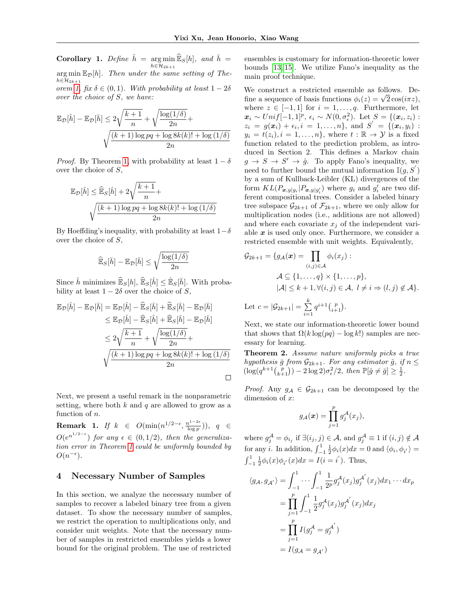<span id="page-4-1"></span>**Corollary 1.** Define  $\hat{h} = \argmin_{h \in \mathcal{H}_{\text{S}}} \widehat{\mathbb{E}}_S[h]$ , and  $\overline{h} =$  $h \in \mathcal{H}_{2k+1}$  $\arg \min \mathbb{E}_{\mathcal{D}}[h]$ . Then under the same setting of The $h \in \mathcal{H}_{2k+1}$ orem [1,](#page-3-2) fix  $\delta \in (0,1)$ . With probability at least  $1-2\delta$ over the choice of S, we have:

$$
\mathbb{E}_{\mathcal{D}}[\hat{h}] - \mathbb{E}_{\mathcal{D}}[\bar{h}] \le 2\sqrt{\frac{k+1}{n}} + \sqrt{\frac{\log(1/\delta)}{2n}} + \sqrt{\frac{(k+1)\log pq + \log 8k(k)! + \log(1/\delta)}{2n}}
$$

*Proof.* By Theorem [1,](#page-3-2) with probability at least  $1 - \delta$ over the choice of S,

$$
\mathbb{E}_{\mathcal{D}}[\hat{h}] \le \widehat{\mathbb{E}}_S[\hat{h}] + 2\sqrt{\frac{k+1}{n}} + \sqrt{\frac{(k+1)\log pq + \log 8k(k)! + \log(1/\delta)}{2n}}
$$

By Hoeffding's inequality, with probability at least  $1-\delta$ over the choice of S,

$$
\widehat{\mathbb{E}}_S[\bar{h}] - \mathbb{E}_{\mathcal{D}}[\bar{h}] \le \sqrt{\frac{\log(1/\delta)}{2n}}
$$

Since  $\hat{h}$  minimizes  $\widehat{\mathbb{E}}_S[h], \widehat{\mathbb{E}}_S[\hat{h}] \leq \widehat{\mathbb{E}}_S[\bar{h}].$  With probability at least  $1 - 2\delta$  over the choice of S,

$$
\mathbb{E}_{\mathcal{D}}[\hat{h}] - \mathbb{E}_{\mathcal{D}}[\bar{h}] = \mathbb{E}_{\mathcal{D}}[\hat{h}] - \widehat{\mathbb{E}}_{S}[\bar{h}] + \widehat{\mathbb{E}}_{S}[\bar{h}] - \mathbb{E}_{\mathcal{D}}[\bar{h}] \n\leq \mathbb{E}_{\mathcal{D}}[\hat{h}] - \widehat{\mathbb{E}}_{S}[\hat{h}] + \widehat{\mathbb{E}}_{S}[\bar{h}] - \mathbb{E}_{\mathcal{D}}[\bar{h}] \n\leq 2\sqrt{\frac{k+1}{n}} + \sqrt{\frac{\log(1/\delta)}{2n}} + \sqrt{\frac{(k+1)\log pq + \log 8k(k)! + \log(1/\delta)}{2n}} \quad \square
$$

Next, we present a useful remark in the nonparametric setting, where both  $k$  and  $q$  are allowed to grow as a function of  $n$ .

<span id="page-4-0"></span>**Remark 1.** If  $k \in O(\min(n^{1/2-\epsilon}, \frac{n^{1-2\epsilon}}{\log n}))$  $\frac{a^{1-2\epsilon}}{\log p}$ )),  $q \in$  $O(e^{n^{1/2-\epsilon}})$  for any  $\epsilon \in (0,1/2)$ , then the generalization error in Theorem [1](#page-3-2) could be uniformly bounded by  $O(n^{-\epsilon}).$ 

## 4 Necessary Number of Samples

In this section, we analyze the necessary number of samples to recover a labeled binary tree from a given dataset. To show the necessary number of samples, we restrict the operation to multiplications only, and consider unit weights. Note that the necessary number of samples in restricted ensembles yields a lower bound for the original problem. The use of restricted

ensembles is customary for information-theoretic lower bounds [\[13,](#page-8-8) [15\]](#page-8-9). We utilize Fano's inequality as the main proof technique.

We construct a restricted ensemble as follows. Dewe construct a restricted ensemble as follows. De-<br>fine a sequence of basis functions  $\phi_i(z) = \sqrt{2} \cos(i\pi z)$ , where  $z \in [-1, 1]$  for  $i = 1, \ldots, q$ . Furthermore, let  $x_i \sim Unif[-1,1]^p, \epsilon_i \sim N(0, \sigma_{\epsilon}^2)$ . Let  $S = \{(\boldsymbol{x}_i, z_i):$  $z_i = g(x_i) + \epsilon_i, i = 1, \ldots, n$ , and  $S' = \{ (x_i, y_i) :$  $y_i = t(z_i), i = 1, \ldots, n$ , where  $t : \mathbb{R} \to \mathcal{Y}$  is a fixed function related to the prediction problem, as introduced in Section 2. This defines a Markov chain  $g \to S \to S' \to \hat{g}$ . To apply Fano's inequality, we need to further bound the mutual information  $\mathbb{I}(g, S')$ by a sum of Kullback-Leibler (KL) divergences of the form  $KL(P_{\boldsymbol{x},y|g_i} | P_{\boldsymbol{x},y|g'_i})$  where  $g_i$  and  $g'_i$  are two different compositional trees. Consider a labeled binary tree subspace  $\mathcal{G}_{2k+1}$  of  $\mathcal{F}_{2k+1}$ , where we only allow for multiplication nodes (i.e., additions are not allowed) and where each covariate  $x_i$  of the independent variable  $x$  is used only once. Furthermore, we consider a restricted ensemble with unit weights. Equivalently,

$$
\mathcal{G}_{2k+1} = \{ g_{\mathcal{A}}(\boldsymbol{x}) = \prod_{(i,j) \in \mathcal{A}} \phi_i(x_j) : \mathcal{A} \subseteq \{1, ..., q\} \times \{1, ..., p\}, |\mathcal{A}| \le k+1, \forall (i,j) \in \mathcal{A}, l \ne i \Rightarrow (l,j) \notin \mathcal{A} \}.
$$
  
Let  $c = |\mathcal{G}_{2k+1}| = \sum_{i=1}^k q^{i+1} {p \choose i+1}.$ 

Next, we state our information-theoretic lower bound that shows that  $\Omega(k \log(pq) - \log k!)$  samples are necessary for learning.

Theorem 2. Assume nature uniformly picks a true hypothesis  $\bar{g}$  from  $\mathcal{G}_{2k+1}$ . For any estimator  $\hat{g}$ , if  $n \leq$  $(\log(q^{k+1} {p \choose k+1}) - 2 \log 2) \sigma_{\epsilon}^2/2$ , then  $\mathbb{P}[\hat{g} \neq \bar{g}] \geq \frac{1}{2}$ .

*Proof.* Any  $g_A \in \mathcal{G}_{2k+1}$  can be decomposed by the dimension of x:

$$
g_{\mathcal{A}}(\boldsymbol{x}) = \prod_{j=1}^p g_j^{\mathcal{A}}(x_j),
$$

where  $g_j^{\mathcal{A}} = \phi_{i_j}$  if  $\exists (i_j, j) \in \mathcal{A}$ , and  $g_j^{\mathcal{A}} \equiv 1$  if  $(i, j) \notin \mathcal{A}$ for any *i*. In addition,  $\int_{-1}^{1} \frac{1}{2} \phi_i(x) dx = 0$  and  $\langle \phi_i, \phi_{i'} \rangle =$  $\int_{-1}^{1} \frac{1}{2} \phi_i(x) \phi_{i'}(x) dx = I(i = i')$ . Thus,

$$
\langle g_{\mathcal{A}}, g_{\mathcal{A}'} \rangle = \int_{-1}^{1} \cdots \int_{-1}^{1} \frac{1}{2^p} g_j^{\mathcal{A}}(x_j) g_j^{\mathcal{A}'}(x_j) dx_1 \cdots dx_p
$$
  
= 
$$
\prod_{j=1}^{p} \int_{-1}^{1} \frac{1}{2} g_j^{\mathcal{A}}(x_j) g_j^{\mathcal{A}'}(x_j) dx_j
$$
  
= 
$$
\prod_{j=1}^{p} I(g_j^{\mathcal{A}} = g_j^{\mathcal{A}'})
$$
  
= 
$$
I(g_{\mathcal{A}} = g_{\mathcal{A}'})
$$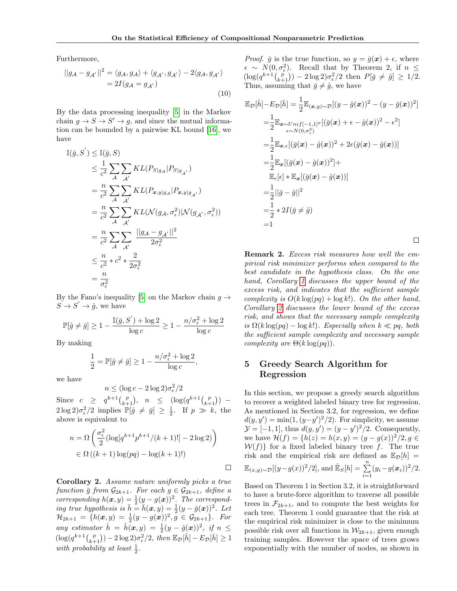Furthermore,

$$
||g_{\mathcal{A}} - g_{\mathcal{A}'}||^2 = \langle g_{\mathcal{A}}, g_{\mathcal{A}} \rangle + \langle g_{\mathcal{A}'}, g_{\mathcal{A}'} \rangle - 2 \langle g_{\mathcal{A}}, g_{\mathcal{A}'} \rangle
$$
  
= 2I(g\_{\mathcal{A}} = g\_{\mathcal{A}'}) (10)

By the data processing inequality [\[5\]](#page-8-10) in the Markov chain  $g \to S \to S' \to g$ , and since the mutual information can be bounded by a pairwise KL bound [\[16\]](#page-8-11), we have

$$
\begin{split}\n\mathbb{I}(\bar{g}, S') &\leq \mathbb{I}(\bar{g}, S) \\
&\leq \frac{1}{c^2} \sum_{\mathcal{A}} \sum_{\mathcal{A}'} KL(P_{S|g_{\mathcal{A}}}|P_{S|g_{\mathcal{A}'}}) \\
&= \frac{n}{c^2} \sum_{\mathcal{A}} \sum_{\mathcal{A}'} KL(P_{\boldsymbol{x}, y|g_{\mathcal{A}}}|P_{\boldsymbol{x}, y|g_{\mathcal{A}'}}) \\
&= \frac{n}{c^2} \sum_{\mathcal{A}} \sum_{\mathcal{A}'} KL(\mathcal{N}(g_{\mathcal{A}}, \sigma_{\epsilon}^2) | \mathcal{N}(g_{\mathcal{A}'}, \sigma_{\epsilon}^2)) \\
&= \frac{n}{c^2} \sum_{\mathcal{A}} \sum_{\mathcal{A}'} \frac{||g_{\mathcal{A}} - g_{\mathcal{A}'}||^2}{2\sigma_{\epsilon}^2} \\
&\leq \frac{n}{c^2} * c^2 * \frac{2}{2\sigma_{\epsilon}^2} \\
&= \frac{n}{\sigma_{\epsilon}^2}\n\end{split}
$$

By the Fano's inequality [\[5\]](#page-8-10) on the Markov chain  $q \rightarrow$  $S \to S' \to \hat{g}$ , we have

$$
\mathbb{P}[\hat{g} \neq \bar{g}] \ge 1 - \frac{\mathbb{I}(\bar{g}, S') + \log 2}{\log c} \ge 1 - \frac{n/\sigma_{\epsilon}^2 + \log 2}{\log c}
$$

By making

$$
\frac{1}{2} = \mathbb{P}[\hat{g} \neq \bar{g}] \ge 1 - \frac{n/\sigma_{\epsilon}^2 + \log 2}{\log c},
$$

we have

$$
n \le (\log c - 2\log 2)\sigma_{\epsilon}^2/2
$$

Since  $c \geq q^{k+1} {p \choose k+1}, \quad n \leq (\log(q^{k+1} {p \choose k+1}))$  - $2\log 2\sigma_{\epsilon}^2/2$  implies  $\mathbb{P}[\hat{g} \neq \bar{g}] \geq \frac{1}{2}$ . If  $p \gg k$ , the above is equivalent to

$$
n = \Omega\left(\frac{\sigma_{\epsilon}^2}{2}(\log[q^{k+1}p^{k+1}/(k+1)!] - 2\log 2)\right)
$$

$$
\in \Omega((k+1)\log(pq) - \log(k+1)!)
$$

 $\Box$ 

<span id="page-5-0"></span>Corollary 2. Assume nature uniformly picks a true function  $\bar{g}$  from  $\mathcal{G}_{2k+1}$ . For each  $g \in \mathcal{G}_{2k+1}$ , define a corresponding  $h(x, y) = \frac{1}{2}(y - g(x))^2$ . The corresponding true hypothesis is  $\bar{h} = \bar{h}(x, y) = \frac{1}{2}(y - \bar{g}(x))^2$ . Let  $\mathcal{H}_{2k+1} = \{h(\bm{x},y) = \frac{1}{2}(y-g(\bm{x}))^2, g \in \mathcal{G}_{2k+1}\}.$  For any estimator  $\hat{h} = \hat{h}(\boldsymbol{x}, y) = \frac{1}{2}(y - \hat{g}(\boldsymbol{x}))^2$ , if  $n \leq$  $(\log(q^{k+1} \binom{p}{k+1}) - 2 \log 2) \sigma_{\epsilon}^2/2$ , then  $\mathbb{E}_{\mathcal{D}}[\hat{h}] - E_{\mathcal{D}}[\bar{h}] \ge 1$ with probability at least  $\frac{1}{2}$ .

*Proof.*  $\bar{g}$  is the true function, so  $y = \bar{g}(x) + \epsilon$ , where  $\epsilon \sim N(0, \sigma_{\epsilon}^2)$ . Recall that by Theorem 2, if  $n \leq$  $(\log(q^{k+1} {p \choose k+1}) - 2 \log 2) \sigma_{\epsilon}^2/2$  then  $P[\bar{g} \neq \hat{g}] \geq 1/2$ . Thus, assuming that  $\bar{g} \neq \hat{g}$ , we have

$$
\mathbb{E}_{\mathcal{D}}[\hat{h}] - E_{\mathcal{D}}[\bar{h}] = \frac{1}{2} \mathbb{E}_{(\boldsymbol{x}, y) \sim \mathcal{D}}[(y - \hat{g}(\boldsymbol{x}))^2 - (y - \bar{g}(\boldsymbol{x}))^2]
$$
\n
$$
= \frac{1}{2} \mathbb{E}_{\boldsymbol{x} \sim Unif[-1,1]^p} [(\bar{g}(\boldsymbol{x}) + \epsilon - \hat{g}(\boldsymbol{x}))^2 - \epsilon^2]
$$
\n
$$
= \frac{1}{2} \mathbb{E}_{\boldsymbol{x}, \epsilon}[(\bar{g}(\boldsymbol{x}) - \hat{g}(\boldsymbol{x}))^2 + 2\epsilon(\bar{g}(\boldsymbol{x}) - \hat{g}(\boldsymbol{x}))]
$$
\n
$$
= \frac{1}{2} \mathbb{E}_{\boldsymbol{x}}[(\bar{g}(\boldsymbol{x}) - \hat{g}(\boldsymbol{x}))^2] +
$$
\n
$$
\mathbb{E}_{\epsilon}[\epsilon] * \mathbb{E}_{\boldsymbol{x}}[(\bar{g}(\boldsymbol{x}) - \hat{g}(\boldsymbol{x}))]
$$
\n
$$
= \frac{1}{2} ||\bar{g} - \hat{g}||^2
$$
\n
$$
= \frac{1}{2} * 2I(\bar{g} \neq \hat{g})
$$
\n
$$
= 1
$$

Remark 2. Excess risk measures how well the empirical risk minimizer performs when compared to the best candidate in the hypothesis class. On the one hand, Corollary [1](#page-4-1) discusses the upper bound of the excess risk, and indicates that the sufficient sample complexity is  $O(k \log(pq) + \log k!)$ . On the other hand, Corollary [2](#page-5-0) discusses the lower bound of the excess risk, and shows that the necessary sample complexity is  $\Omega(k \log (pq) - \log k!)$ . Especially when  $k \ll pq$ , both the sufficient sample complexity and necessary sample complexity are  $\Theta(k \log(pq))$ .

## 5 Greedy Search Algorithm for Regression

In this section, we propose a greedy search algorithm to recover a weighted labeled binary tree for regression. As mentioned in Section 3.2, for regression, we define  $d(y, y') = \min(1, (y-y')^2/2)$ . For simplicity, we assume  $\mathcal{Y} = [-1, 1]$ , thus  $d(y, y') = (y - y')^2/2$ . Consequently, we have  $\mathcal{H}(f) = \{h(z) = h(x, y) = (y - g(x))^2/2, g \in$  $W(f)$  for a fixed labeled binary tree f. The true risk and the empirical risk are defined as  $\mathbb{E}_{\mathcal{D}}[h] =$  $\mathbb{E}_{(x,y)\sim\mathcal{D}}[(y-g(x))^2/2]$ , and  $\mathbb{\hat{E}}_S[h] = \sum_{i=1}^n (y_i - g(x_i))^2/2$ .

Based on Theorem 1 in Section 3.2, it is straightforward to have a brute-force algorithm to traverse all possible trees in  $\mathcal{F}_{2k+1}$ , and to compute the best weights for each tree. Theorem 1 could guarantee that the risk at the empirical risk minimizer is close to the minimum possible risk over all functions in  $W_{2k+1}$ , given enough training samples. However the space of trees grows exponentially with the number of nodes, as shown in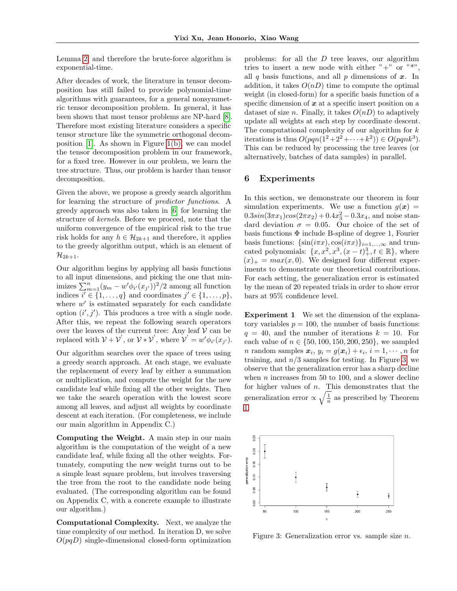Lemma [2,](#page-2-1) and therefore the brute-force algorithm is exponential-time.

After decades of work, the literature in tensor decomposition has still failed to provide polynomial-time algorithms with guarantees, for a general nonsymmetric tensor decomposition problem. In general, it has been shown that most tensor problems are NP-hard [\[8\]](#page-8-12). Therefore most existing literature considers a specific tensor structure like the symmetric orthogonal decomposition [\[1\]](#page-7-0). As shown in Figure [1\(b\),](#page-1-1) we can model the tensor decomposition problem in our framework, for a fixed tree. However in our problem, we learn the tree structure. Thus, our problem is harder than tensor decomposition.

Given the above, we propose a greedy search algorithm for learning the structure of predictor functions. A greedy approach was also taken in [\[6\]](#page-8-2) for learning the structure of kernels. Before we proceed, note that the uniform convergence of the empirical risk to the true risk holds for any  $h \in \mathcal{H}_{2k+1}$  and therefore, it applies to the greedy algorithm output, which is an element of  $\mathcal{H}_{2k+1}.$ 

Our algorithm begins by applying all basis functions to all input dimensions, and picking the one that minimizes  $\sum_{m=1}^{n} (y_m - w' \phi_{i'}(x_{j'}))^2/2$  among all function indices  $i' \in \{1, \ldots, q\}$  and coordinates  $j' \in \{1, \ldots, p\}$ , where  $w'$  is estimated separately for each candidate option  $(i', j')$ . This produces a tree with a single node. After this, we repeat the following search operators over the leaves of the current tree: Any leaf  $V$  can be replaced with  $V + V'$ , or  $V * V'$ , where  $V' = w' \phi_{i'}(x_{j'})$ .

Our algorithm searches over the space of trees using a greedy search approach. At each stage, we evaluate the replacement of every leaf by either a summation or multiplication, and compute the weight for the new candidate leaf while fixing all the other weights. Then we take the search operation with the lowest score among all leaves, and adjust all weights by coordinate descent at each iteration. (For completeness, we include our main algorithm in Appendix C.)

Computing the Weight. A main step in our main algorithm is the computation of the weight of a new candidate leaf, while fixing all the other weights. Fortunately, computing the new weight turns out to be a simple least square problem, but involves traversing the tree from the root to the candidate node being evaluated. (The corresponding algorithm can be found on Appendix C, with a concrete example to illustrate our algorithm.)

Computational Complexity. Next, we analyze the time complexity of our method. In iteration D, we solve  $O(pqD)$  single-dimensional closed-form optimization

problems: for all the D tree leaves, our algorithm tries to insert a new node with either  $" +"$  or  $"$ all q basis functions, and all  $p$  dimensions of  $x$ . In addition, it takes  $O(nD)$  time to compute the optimal weight (in closed-form) for a specific basis function of a specific dimension of  $x$  at a specific insert position on a dataset of size n. Finally, it takes  $O(nD)$  to adaptively update all weights at each step by coordinate descent. The computational complexity of our algorithm for k iterations is thus  $O(pqn(1^2+2^2+\cdots+k^2)) \in O(pqnk^3)$ . This can be reduced by processing the tree leaves (or alternatively, batches of data samples) in parallel.

#### 6 Experiments

In this section, we demonstrate our theorem in four simulation experiments. We use a function  $g(x)$  =  $0.3\sin(3\pi x_1)\cos(2\pi x_2) + 0.4x_3^2 - 0.3x_4$ , and noise standard deviation  $\sigma = 0.05$ . Our choice of the set of basis functions  $\Phi$  include B-spline of degree 1, Fourier basis functions:  $\{\sin(i\pi x), \cos(i\pi x)\}_{i=1,\dots,\infty}$  and truncated polynomials:  $\{x, x^2, x^3, (x-t)_+^3, t \in \mathbb{R}\},\$  where  $(x)_+ = max(x, 0)$ . We designed four different experiments to demonstrate our theoretical contributions. For each setting, the generalization error is estimated by the mean of 20 repeated trials in order to show error bars at 95% confidence level.

Experiment 1 We set the dimension of the explanatory variables  $p = 100$ , the number of basis functions:  $q = 40$ , and the number of iterations  $k = 10$ . For each value of  $n \in \{50, 100, 150, 200, 250\}$ , we sampled *n* random samples  $x_i$ ,  $y_i = g(x_i) + \epsilon_i$ ,  $i = 1, \dots, n$  for training, and  $n/3$  samples for testing. In Figure [3,](#page-6-0) we observe that the generalization error has a sharp decline when  $n$  increases from 50 to 100, and a slower decline for higher values of  $n$ . This demonstrates that the generalization error  $\propto \sqrt{\frac{1}{n}}$  as prescribed by Theorem [1.](#page-3-2)

<span id="page-6-0"></span>

Figure 3: Generalization error vs. sample size n.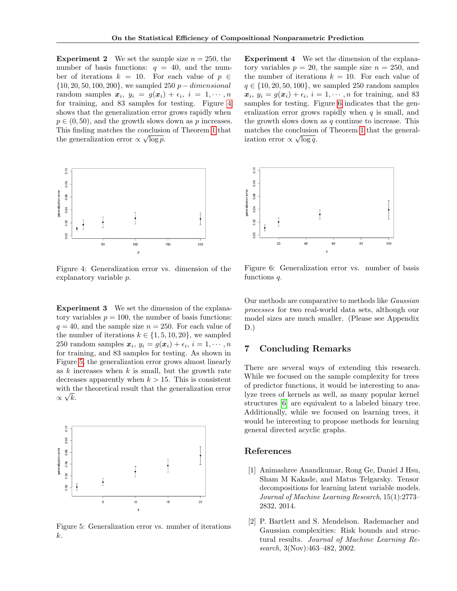**Experiment 2** We set the sample size  $n = 250$ , the number of basis functions:  $q = 40$ , and the number of iterations  $k = 10$ . For each value of  $p \in$  $\{10, 20, 50, 100, 200\}$ , we sampled 250 p – dimensional random samples  $\boldsymbol{x}_i, y_i = g(\boldsymbol{x}_i) + \epsilon_i, i = 1, \cdots, n$ for training, and 83 samples for testing. Figure [4](#page-7-1) shows that the generalization error grows rapidly when  $p \in (0, 50)$ , and the growth slows down as p increases. This finding matches the conclusion of Theorem [1](#page-3-2) that the generalization error  $\propto \sqrt{\log p}$ .

<span id="page-7-1"></span>

Figure 4: Generalization error vs. dimension of the explanatory variable p.

Experiment 3 We set the dimension of the explanatory variables  $p = 100$ , the number of basis functions:  $q = 40$ , and the sample size  $n = 250$ . For each value of the number of iterations  $k \in \{1, 5, 10, 20\}$ , we sampled 250 random samples  $x_i$ ,  $y_i = g(x_i) + \epsilon_i$ ,  $i = 1, \dots, n$ for training, and 83 samples for testing. As shown in Figure [5,](#page-7-2) the generalization error grows almost linearly as  $k$  increases when  $k$  is small, but the growth rate decreases apparently when  $k > 15$ . This is consistent with the theoretical result that the generalization error  $\propto √k$ .

<span id="page-7-2"></span>

Figure 5: Generalization error vs. number of iterations k.

Experiment 4 We set the dimension of the explanatory variables  $p = 20$ , the sample size  $n = 250$ , and the number of iterations  $k = 10$ . For each value of  $q \in \{10, 20, 50, 100\}$ , we sampled 250 random samples  $x_i, y_i = g(x_i) + \epsilon_i, i = 1, \dots, n$  for training, and 83 samples for testing. Figure [6](#page-7-3) indicates that the generalization error grows rapidly when  $q$  is small, and the growth slows down as  $q$  continue to increase. This matches the conclusion of Theorem [1](#page-3-2) that the generalization error  $\propto \sqrt{\log q}$ .

<span id="page-7-3"></span>

Figure 6: Generalization error vs. number of basis functions q.

Our methods are comparative to methods like Gaussian processes for two real-world data sets, although our model sizes are much smaller. (Please see Appendix D.)

## 7 Concluding Remarks

There are several ways of extending this research. While we focused on the sample complexity for trees of predictor functions, it would be interesting to analyze trees of kernels as well, as many popular kernel structures [\[6\]](#page-8-2) are equivalent to a labeled binary tree. Additionally, while we focused on learning trees, it would be interesting to propose methods for learning general directed acyclic graphs.

#### References

- <span id="page-7-0"></span>[1] Animashree Anandkumar, Rong Ge, Daniel J Hsu, Sham M Kakade, and Matus Telgarsky. Tensor decompositions for learning latent variable models. Journal of Machine Learning Research, 15(1):2773– 2832, 2014.
- [2] P. Bartlett and S. Mendelson. Rademacher and Gaussian complexities: Risk bounds and structural results. Journal of Machine Learning Research, 3(Nov):463–482, 2002.